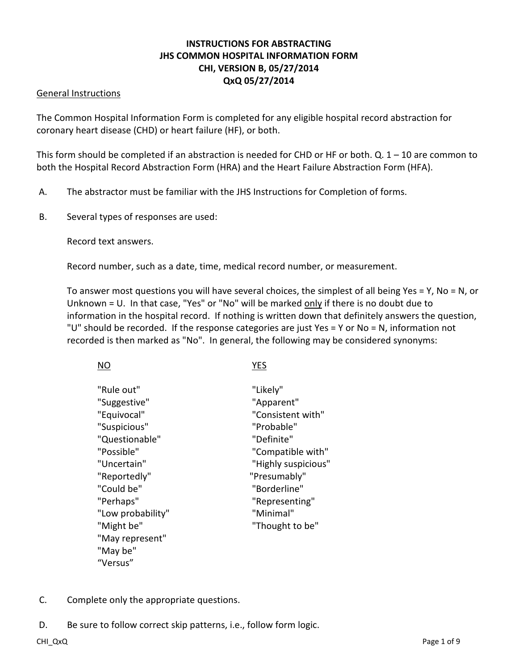# **INSTRUCTIONS FOR ABSTRACTING JHS COMMON HOSPITAL INFORMATION FORM CHI, VERSION B, 05/27/2014 QxQ 05/27/2014**

### General Instructions

The Common Hospital Information Form is completed for any eligible hospital record abstraction for coronary heart disease (CHD) or heart failure (HF), or both.

This form should be completed if an abstraction is needed for CHD or HF or both. Q.  $1 - 10$  are common to both the Hospital Record Abstraction Form (HRA) and the Heart Failure Abstraction Form (HFA).

- A. The abstractor must be familiar with the JHS Instructions for Completion of forms.
- B. Several types of responses are used:

Record text answers.

Record number, such as a date, time, medical record number, or measurement.

To answer most questions you will have several choices, the simplest of all being Yes = Y, No = N, or Unknown = U. In that case, "Yes" or "No" will be marked only if there is no doubt due to information in the hospital record. If nothing is written down that definitely answers the question, "U" should be recorded. If the response categories are just Yes = Y or No = N, information not recorded is then marked as "No". In general, the following may be considered synonyms:

| <b>NO</b> | <b>YES</b> |
|-----------|------------|
|           |            |

| "Rule out"        | "Likely"            |
|-------------------|---------------------|
| "Suggestive"      | "Apparent"          |
| "Equivocal"       | "Consistent with"   |
| "Suspicious"      | "Probable"          |
|                   |                     |
| "Questionable"    | "Definite"          |
| "Possible"        | "Compatible with"   |
| "Uncertain"       | "Highly suspicious" |
| "Reportedly"      | "Presumably"        |
| "Could be"        | "Borderline"        |
| "Perhaps"         | "Representing"      |
| "Low probability" | "Minimal"           |
| "Might be"        | "Thought to be"     |
| "May represent"   |                     |
| "May be"          |                     |
| "Versus"          |                     |

- C. Complete only the appropriate questions.
- D. Be sure to follow correct skip patterns, i.e., follow form logic.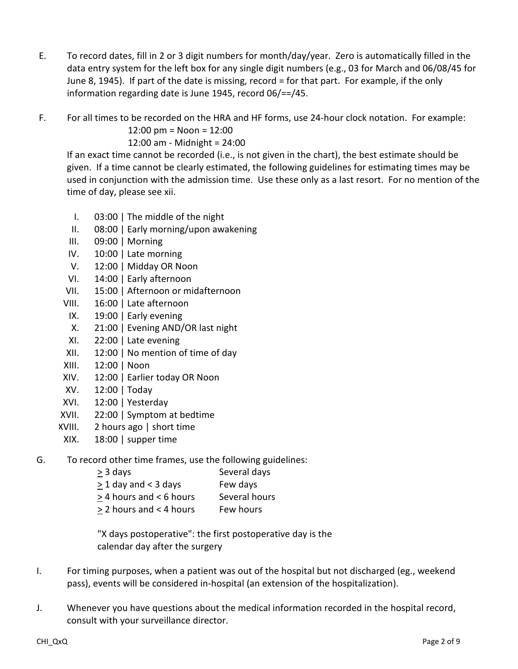- E. To record dates, fill in 2 or 3 digit numbers for month/day/year. Zero is automatically filled in the data entry system for the left box for any single digit numbers (e.g., 03 for March and 06/08/45 for June 8, 1945). If part of the date is missing, record = for that part. For example, if the only information regarding date is June 1945, record 06/==/45.
- F. For all times to be recorded on the HRA and HF forms, use 24-hour clock notation. For example:

12:00 pm = Noon = 12:00

12:00 am - Midnight = 24:00

If an exact time cannot be recorded (i.e., is not given in the chart), the best estimate should be given. If a time cannot be clearly estimated, the following guidelines for estimating times may be used in conjunction with the admission time. Use these only as a last resort. For no mention of the time of day, please see xii.

- I. 03:00 | The middle of the night
- II. 08:00 | Early morning/upon awakening
- III. 09:00 | Morning
- IV. 10:00 | Late morning
- V. 12:00 | Midday OR Noon
- VI. 14:00 | Early afternoon
- VII. 15:00 | Afternoon or midafternoon
- VIII. 16:00 | Late afternoon
- IX. 19:00 | Early evening
- X. 21:00 | Evening AND/OR last night
- XI. 22:00 | Late evening
- XII. 12:00 | No mention of time of day
- XIII. 12:00 | Noon
- XIV. 12:00 | Earlier today OR Noon
- XV. 12:00 | Today
- XVI. 12:00 | Yesterday
- XVII. 22:00 | Symptom at bedtime
- XVIII. 2 hours ago | short time
- XIX. 18:00 | supper time
- G. To record other time frames, use the following guidelines:
	- > 3 days Several days  $>$  1 day and < 3 days Few days
	- > 4 hours and < 6 hours Several hours > 2 hours and < 4 hours Few hours

"X days postoperative": the first postoperative day is the calendar day after the surgery

- I. For timing purposes, when a patient was out of the hospital but not discharged (eg., weekend pass), events will be considered in-hospital (an extension of the hospitalization).
- J. Whenever you have questions about the medical information recorded in the hospital record, consult with your surveillance director.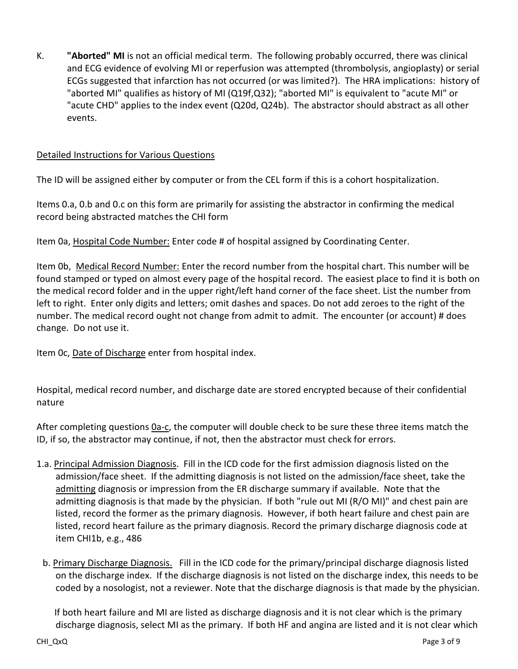K. **"Aborted" MI** is not an official medical term. The following probably occurred, there was clinical and ECG evidence of evolving MI or reperfusion was attempted (thrombolysis, angioplasty) or serial ECGs suggested that infarction has not occurred (or was limited?). The HRA implications: history of "aborted MI" qualifies as history of MI (Q19f,Q32); "aborted MI" is equivalent to "acute MI" or "acute CHD" applies to the index event (Q20d, Q24b). The abstractor should abstract as all other events.

## Detailed Instructions for Various Questions

The ID will be assigned either by computer or from the CEL form if this is a cohort hospitalization.

Items 0.a, 0.b and 0.c on this form are primarily for assisting the abstractor in confirming the medical record being abstracted matches the CHI form

Item 0a, Hospital Code Number: Enter code # of hospital assigned by Coordinating Center.

Item 0b, Medical Record Number: Enter the record number from the hospital chart. This number will be found stamped or typed on almost every page of the hospital record. The easiest place to find it is both on the medical record folder and in the upper right/left hand corner of the face sheet. List the number from left to right. Enter only digits and letters; omit dashes and spaces. Do not add zeroes to the right of the number. The medical record ought not change from admit to admit. The encounter (or account) # does change. Do not use it.

Item Oc, Date of Discharge enter from hospital index.

Hospital, medical record number, and discharge date are stored encrypted because of their confidential nature

After completing questions 0a-c, the computer will double check to be sure these three items match the ID, if so, the abstractor may continue, if not, then the abstractor must check for errors.

- 1.a. Principal Admission Diagnosis. Fill in the ICD code for the first admission diagnosis listed on the admission/face sheet. If the admitting diagnosis is not listed on the admission/face sheet, take the admitting diagnosis or impression from the ER discharge summary if available. Note that the admitting diagnosis is that made by the physician. If both "rule out MI (R/O MI)" and chest pain are listed, record the former as the primary diagnosis. However, if both heart failure and chest pain are listed, record heart failure as the primary diagnosis. Record the primary discharge diagnosis code at item CHI1b, e.g., 486
	- b. Primary Discharge Diagnosis. Fill in the ICD code for the primary/principal discharge diagnosis listed on the discharge index. If the discharge diagnosis is not listed on the discharge index, this needs to be coded by a nosologist, not a reviewer. Note that the discharge diagnosis is that made by the physician.

 If both heart failure and MI are listed as discharge diagnosis and it is not clear which is the primary discharge diagnosis, select MI as the primary. If both HF and angina are listed and it is not clear which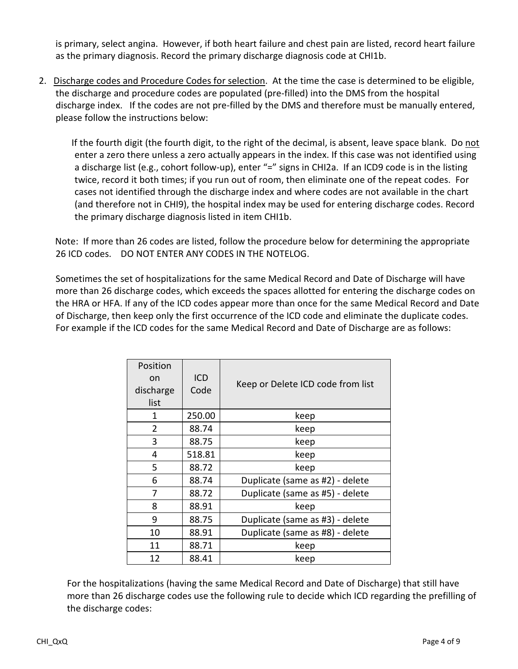is primary, select angina. However, if both heart failure and chest pain are listed, record heart failure as the primary diagnosis. Record the primary discharge diagnosis code at CHI1b.

2. Discharge codes and Procedure Codes for selection. At the time the case is determined to be eligible, the discharge and procedure codes are populated (pre-filled) into the DMS from the hospital discharge index. If the codes are not pre-filled by the DMS and therefore must be manually entered, please follow the instructions below:

 If the fourth digit (the fourth digit, to the right of the decimal, is absent, leave space blank. Do not enter a zero there unless a zero actually appears in the index. If this case was not identified using a discharge list (e.g., cohort follow-up), enter "=" signs in CHI2a. If an ICD9 code is in the listing twice, record it both times; if you run out of room, then eliminate one of the repeat codes. For cases not identified through the discharge index and where codes are not available in the chart (and therefore not in CHI9), the hospital index may be used for entering discharge codes. Record the primary discharge diagnosis listed in item CHI1b.

 Note: If more than 26 codes are listed, follow the procedure below for determining the appropriate 26 ICD codes. DO NOT ENTER ANY CODES IN THE NOTELOG.

Sometimes the set of hospitalizations for the same Medical Record and Date of Discharge will have more than 26 discharge codes, which exceeds the spaces allotted for entering the discharge codes on the HRA or HFA. If any of the ICD codes appear more than once for the same Medical Record and Date of Discharge, then keep only the first occurrence of the ICD code and eliminate the duplicate codes. For example if the ICD codes for the same Medical Record and Date of Discharge are as follows:

| Position  |            |                                   |  |
|-----------|------------|-----------------------------------|--|
| on        | <b>ICD</b> | Keep or Delete ICD code from list |  |
| discharge | Code       |                                   |  |
| list      |            |                                   |  |
| 1         | 250.00     | keep                              |  |
| 2         | 88.74      | keep                              |  |
| 3         | 88.75      | keep                              |  |
| 4         | 518.81     | keep                              |  |
| 5         | 88.72      | keep                              |  |
| 6         | 88.74      | Duplicate (same as #2) - delete   |  |
| 7         | 88.72      | Duplicate (same as #5) - delete   |  |
| 8         | 88.91      | keep                              |  |
| 9         | 88.75      | Duplicate (same as #3) - delete   |  |
| 10        | 88.91      | Duplicate (same as #8) - delete   |  |
| 11        | 88.71      | keep                              |  |
| 12        | 88.41      | keep                              |  |

For the hospitalizations (having the same Medical Record and Date of Discharge) that still have more than 26 discharge codes use the following rule to decide which ICD regarding the prefilling of the discharge codes: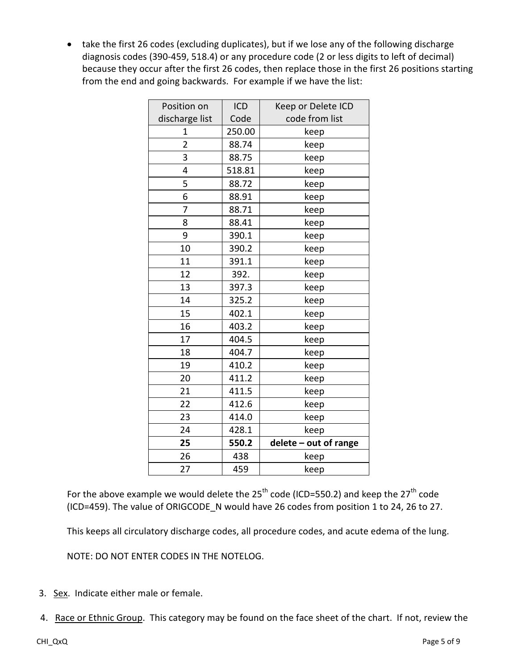• take the first 26 codes (excluding duplicates), but if we lose any of the following discharge diagnosis codes (390-459, 518.4) or any procedure code (2 or less digits to left of decimal) because they occur after the first 26 codes, then replace those in the first 26 positions starting from the end and going backwards. For example if we have the list:

| Position on    | ICD    | Keep or Delete ICD    |
|----------------|--------|-----------------------|
| discharge list | Code   | code from list        |
| 1              | 250.00 | keep                  |
| $\overline{2}$ | 88.74  | keep                  |
| 3              | 88.75  | keep                  |
| 4              | 518.81 | keep                  |
| 5              | 88.72  | keep                  |
| 6              | 88.91  | keep                  |
| 7              | 88.71  | keep                  |
| 8              | 88.41  | keep                  |
| 9              | 390.1  | keep                  |
| 10             | 390.2  | keep                  |
| 11             | 391.1  | keep                  |
| 12             | 392.   | keep                  |
| 13             | 397.3  | keep                  |
| 14             | 325.2  | keep                  |
| 15             | 402.1  | keep                  |
| 16             | 403.2  | keep                  |
| 17             | 404.5  | keep                  |
| 18             | 404.7  | keep                  |
| 19             | 410.2  | keep                  |
| 20             | 411.2  | keep                  |
| 21             | 411.5  | keep                  |
| 22             | 412.6  | keep                  |
| 23             | 414.0  | keep                  |
| 24             | 428.1  | keep                  |
| 25             | 550.2  | delete - out of range |
| 26             | 438    | keep                  |
| 27             | 459    | keep                  |

For the above example we would delete the  $25<sup>th</sup>$  code (ICD=550.2) and keep the  $27<sup>th</sup>$  code (ICD=459). The value of ORIGCODE N would have 26 codes from position 1 to 24, 26 to 27.

This keeps all circulatory discharge codes, all procedure codes, and acute edema of the lung.

NOTE: DO NOT ENTER CODES IN THE NOTELOG.

- 3. Sex. Indicate either male or female.
- 4. Race or Ethnic Group. This category may be found on the face sheet of the chart. If not, review the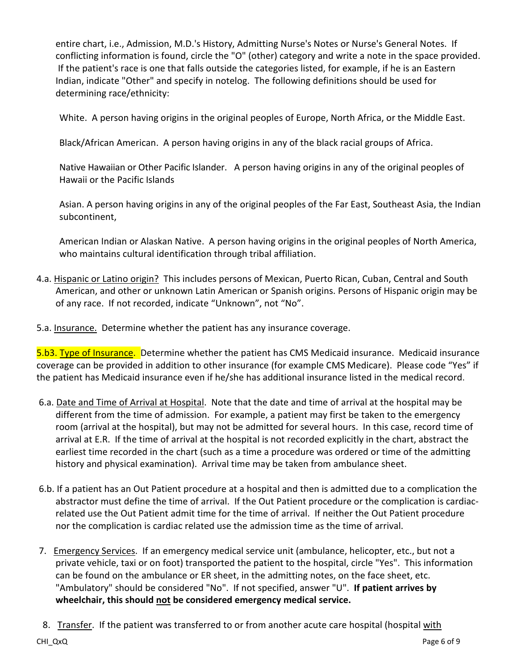entire chart, i.e., Admission, M.D.'s History, Admitting Nurse's Notes or Nurse's General Notes. If conflicting information is found, circle the "O" (other) category and write a note in the space provided. If the patient's race is one that falls outside the categories listed, for example, if he is an Eastern Indian, indicate "Other" and specify in notelog. The following definitions should be used for determining race/ethnicity:

White. A person having origins in the original peoples of Europe, North Africa, or the Middle East.

Black/African American. A person having origins in any of the black racial groups of Africa.

Native Hawaiian or Other Pacific Islander. A person having origins in any of the original peoples of Hawaii or the Pacific Islands

Asian. A person having origins in any of the original peoples of the Far East, Southeast Asia, the Indian subcontinent,

American Indian or Alaskan Native. A person having origins in the original peoples of North America, who maintains cultural identification through tribal affiliation.

- 4.a. Hispanic or Latino origin? This includes persons of Mexican, Puerto Rican, Cuban, Central and South American, and other or unknown Latin American or Spanish origins. Persons of Hispanic origin may be of any race. If not recorded, indicate "Unknown", not "No".
- 5.a. Insurance. Determine whether the patient has any insurance coverage.

5.b3. Type of Insurance. Determine whether the patient has CMS Medicaid insurance. Medicaid insurance coverage can be provided in addition to other insurance (for example CMS Medicare). Please code "Yes" if the patient has Medicaid insurance even if he/she has additional insurance listed in the medical record.

- 6.a. Date and Time of Arrival at Hospital. Note that the date and time of arrival at the hospital may be different from the time of admission. For example, a patient may first be taken to the emergency room (arrival at the hospital), but may not be admitted for several hours. In this case, record time of arrival at E.R. If the time of arrival at the hospital is not recorded explicitly in the chart, abstract the earliest time recorded in the chart (such as a time a procedure was ordered or time of the admitting history and physical examination). Arrival time may be taken from ambulance sheet.
- 6.b. If a patient has an Out Patient procedure at a hospital and then is admitted due to a complication the abstractor must define the time of arrival. If the Out Patient procedure or the complication is cardiacrelated use the Out Patient admit time for the time of arrival. If neither the Out Patient procedure nor the complication is cardiac related use the admission time as the time of arrival.
- 7. Emergency Services. If an emergency medical service unit (ambulance, helicopter, etc., but not a private vehicle, taxi or on foot) transported the patient to the hospital, circle "Yes". This information can be found on the ambulance or ER sheet, in the admitting notes, on the face sheet, etc. "Ambulatory" should be considered "No". If not specified, answer "U". **If patient arrives by wheelchair, this should not be considered emergency medical service.**
- 8. Transfer. If the patient was transferred to or from another acute care hospital (hospital with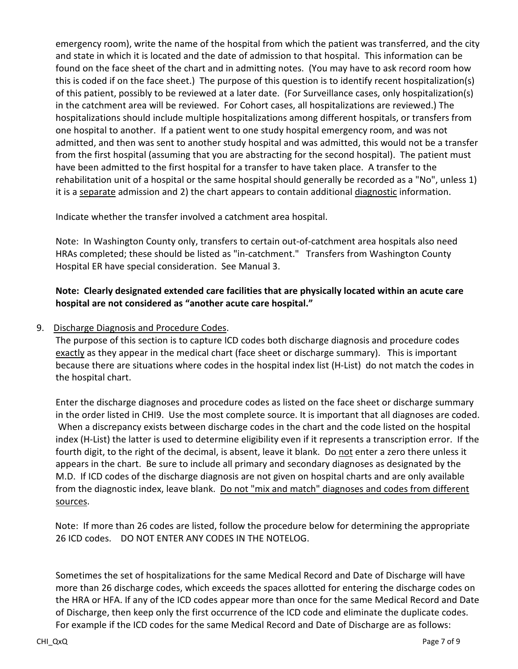emergency room), write the name of the hospital from which the patient was transferred, and the city and state in which it is located and the date of admission to that hospital. This information can be found on the face sheet of the chart and in admitting notes. (You may have to ask record room how this is coded if on the face sheet.) The purpose of this question is to identify recent hospitalization(s) of this patient, possibly to be reviewed at a later date. (For Surveillance cases, only hospitalization(s) in the catchment area will be reviewed. For Cohort cases, all hospitalizations are reviewed.) The hospitalizations should include multiple hospitalizations among different hospitals, or transfers from one hospital to another. If a patient went to one study hospital emergency room, and was not admitted, and then was sent to another study hospital and was admitted, this would not be a transfer from the first hospital (assuming that you are abstracting for the second hospital). The patient must have been admitted to the first hospital for a transfer to have taken place. A transfer to the rehabilitation unit of a hospital or the same hospital should generally be recorded as a "No", unless 1) it is a separate admission and 2) the chart appears to contain additional diagnostic information.

Indicate whether the transfer involved a catchment area hospital.

Note: In Washington County only, transfers to certain out-of-catchment area hospitals also need HRAs completed; these should be listed as "in-catchment." Transfers from Washington County Hospital ER have special consideration. See Manual 3.

## **Note: Clearly designated extended care facilities that are physically located within an acute care hospital are not considered as "another acute care hospital."**

## 9. Discharge Diagnosis and Procedure Codes.

The purpose of this section is to capture ICD codes both discharge diagnosis and procedure codes exactly as they appear in the medical chart (face sheet or discharge summary). This is important because there are situations where codes in the hospital index list (H-List) do not match the codes in the hospital chart.

Enter the discharge diagnoses and procedure codes as listed on the face sheet or discharge summary in the order listed in CHI9. Use the most complete source. It is important that all diagnoses are coded. When a discrepancy exists between discharge codes in the chart and the code listed on the hospital index (H-List) the latter is used to determine eligibility even if it represents a transcription error. If the fourth digit, to the right of the decimal, is absent, leave it blank. Do not enter a zero there unless it appears in the chart. Be sure to include all primary and secondary diagnoses as designated by the M.D. If ICD codes of the discharge diagnosis are not given on hospital charts and are only available from the diagnostic index, leave blank. Do not "mix and match" diagnoses and codes from different sources.

 Note: If more than 26 codes are listed, follow the procedure below for determining the appropriate 26 ICD codes. DO NOT ENTER ANY CODES IN THE NOTELOG.

Sometimes the set of hospitalizations for the same Medical Record and Date of Discharge will have more than 26 discharge codes, which exceeds the spaces allotted for entering the discharge codes on the HRA or HFA. If any of the ICD codes appear more than once for the same Medical Record and Date of Discharge, then keep only the first occurrence of the ICD code and eliminate the duplicate codes. For example if the ICD codes for the same Medical Record and Date of Discharge are as follows: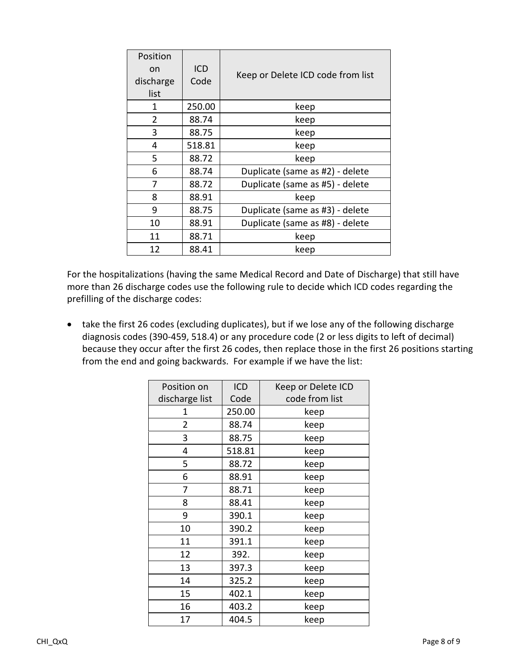| Position  |        |                                   |  |
|-----------|--------|-----------------------------------|--|
| on        | ICD    | Keep or Delete ICD code from list |  |
| discharge | Code   |                                   |  |
| list      |        |                                   |  |
| 1         | 250.00 | keep                              |  |
| 2         | 88.74  | keep                              |  |
| 3         | 88.75  | keep                              |  |
| 4         | 518.81 | keep                              |  |
| 5         | 88.72  | keep                              |  |
| 6         | 88.74  | Duplicate (same as #2) - delete   |  |
| 7         | 88.72  | Duplicate (same as #5) - delete   |  |
| 8         | 88.91  | keep                              |  |
| 9         | 88.75  | Duplicate (same as #3) - delete   |  |
| 10        | 88.91  | Duplicate (same as #8) - delete   |  |
| 11        | 88.71  | keep                              |  |
| 12        | 88.41  | keep                              |  |

For the hospitalizations (having the same Medical Record and Date of Discharge) that still have more than 26 discharge codes use the following rule to decide which ICD codes regarding the prefilling of the discharge codes:

• take the first 26 codes (excluding duplicates), but if we lose any of the following discharge diagnosis codes (390-459, 518.4) or any procedure code (2 or less digits to left of decimal) because they occur after the first 26 codes, then replace those in the first 26 positions starting from the end and going backwards. For example if we have the list:

| Position on    | ICD    | Keep or Delete ICD |
|----------------|--------|--------------------|
| discharge list | Code   | code from list     |
| 1              | 250.00 | keep               |
| $\overline{2}$ | 88.74  | keep               |
| 3              | 88.75  | keep               |
| 4              | 518.81 | keep               |
| 5              | 88.72  | keep               |
| 6              | 88.91  | keep               |
| 7              | 88.71  | keep               |
| 8              | 88.41  | keep               |
| 9              | 390.1  | keep               |
| 10             | 390.2  | keep               |
| 11             | 391.1  | keep               |
| 12             | 392.   | keep               |
| 13             | 397.3  | keep               |
| 14             | 325.2  | keep               |
| 15             | 402.1  | keep               |
| 16             | 403.2  | keep               |
| 17             | 404.5  | keep               |